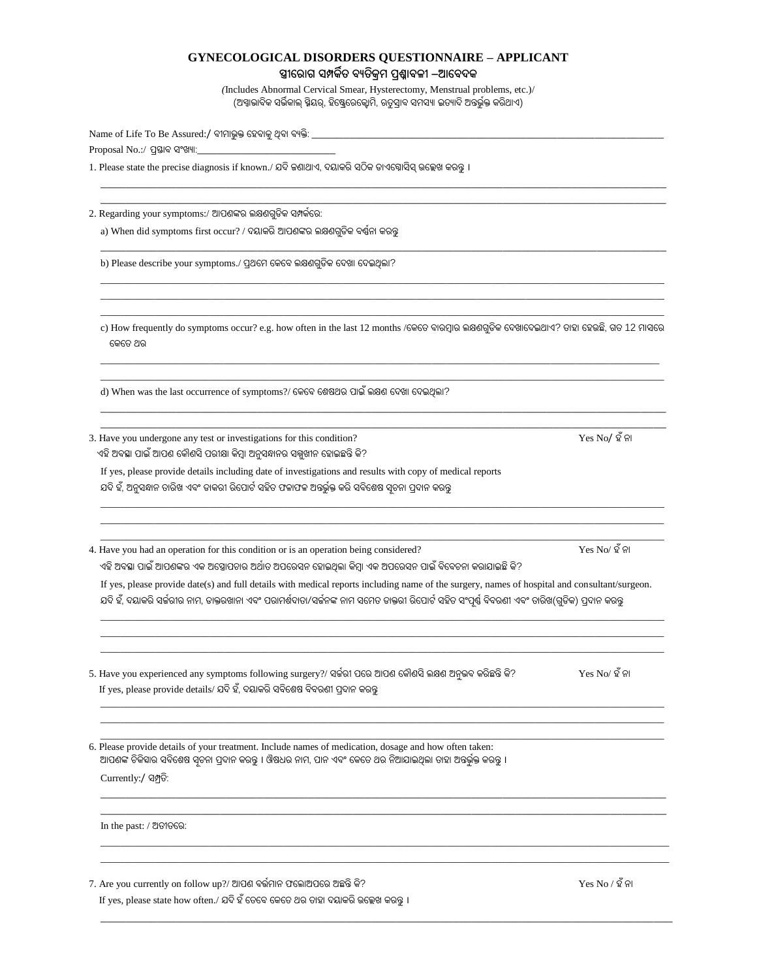## **GYNECOLOGICAL DISORDERS QUESTIONNAIRE – APPLICANT**

**ସ୍ତ୍ରୀର ୋଗ ସମ୍ପର୍କିତ ବ୍ୟତିକ୍ରମ ପ୍ରଶ୍ନୋବ୍ଳୀ –ଆରବ୍ଦର୍କ** 

*(*Includes Abnormal Cervical Smear, Hysterectomy, Menstrual problems, etc.)/ (ଅସ୍ୱାଭାବିକ ସର୍ଭିକାଲ୍ ସ୍ମିୟର୍, ହିଷ୍ଟ୍ରେରେକ୍ଟୋମି, ଋତୁସ୍ରାବ ସମସ୍ୟା ଇତ୍ୟାଦି ଅନ୍ତର୍ଭୁକ୍ତ କରିଥାଏ)

 $\mathcal{L}_\mathcal{L} = \{ \mathcal{L}_\mathcal{L} = \{ \mathcal{L}_\mathcal{L} = \{ \mathcal{L}_\mathcal{L} = \{ \mathcal{L}_\mathcal{L} = \{ \mathcal{L}_\mathcal{L} = \{ \mathcal{L}_\mathcal{L} = \{ \mathcal{L}_\mathcal{L} = \{ \mathcal{L}_\mathcal{L} = \{ \mathcal{L}_\mathcal{L} = \{ \mathcal{L}_\mathcal{L} = \{ \mathcal{L}_\mathcal{L} = \{ \mathcal{L}_\mathcal{L} = \{ \mathcal{L}_\mathcal{L} = \{ \mathcal{L}_\mathcal{$ \_\_\_\_\_\_\_\_\_\_\_\_\_\_\_\_\_\_\_\_\_\_\_\_\_\_\_\_\_\_\_\_\_\_\_\_\_\_\_\_\_\_\_\_\_\_\_\_\_\_\_\_\_\_\_\_\_\_\_\_\_\_\_\_\_\_\_\_\_\_\_\_\_\_\_\_\_\_\_\_\_\_\_\_\_\_\_\_\_\_

\_\_\_\_\_\_\_\_\_\_\_\_\_\_\_\_\_\_\_\_\_\_\_\_\_\_\_\_\_\_\_\_\_\_\_\_\_\_\_\_\_\_\_\_\_\_\_\_\_\_\_\_\_\_\_\_\_\_\_\_\_\_\_\_\_\_\_\_\_\_\_\_\_\_\_\_\_\_\_\_\_\_\_\_\_\_\_\_\_\_

\_\_\_\_\_\_\_\_\_\_\_\_\_\_\_\_\_\_\_\_\_\_\_\_\_\_\_\_\_\_\_\_\_\_\_\_\_\_\_\_\_\_\_\_\_\_\_\_\_\_\_\_\_\_\_\_\_\_\_\_\_\_\_\_\_\_\_\_\_\_\_\_\_\_\_\_\_\_\_\_\_\_\_\_\_\_\_\_\_\_\_\_\_\_\_\_\_\_\_\_\_\_\_\_\_\_\_\_\_\_\_\_\_\_  $\_$  ,  $\_$  ,  $\_$  ,  $\_$  ,  $\_$  ,  $\_$  ,  $\_$  ,  $\_$  ,  $\_$  ,  $\_$  ,  $\_$  ,  $\_$  ,  $\_$  ,  $\_$  ,  $\_$  ,  $\_$  ,  $\_$  ,  $\_$  ,  $\_$  ,  $\_$  ,  $\_$  ,  $\_$  ,  $\_$  ,  $\_$  ,  $\_$  ,  $\_$  ,  $\_$  ,  $\_$  ,  $\_$  ,  $\_$  ,  $\_$  ,  $\_$  ,  $\_$  ,  $\_$  ,  $\_$  ,  $\_$  ,  $\_$  ,

Name of Life To Be Assured:/ ବୀମାଭ଼କ୍ତ ହେବାକ୍ ଥିବା ବ୍ୟକ୍ତି:  $Proposal$   $No.:$  ପ୍ରସ୍ତାବ ସଂଖ୍ୟା: $\_\_$ 

 $1.$  Please state the precise diagnosis if known./ ଯଦି ଜଣାଥାଏ, ଦୟାକରି ସଠିକ ଡାଏଗ୍ନୋସିସ୍ ଉଲ୍ଲେଖ କରନ୍ତୁ ।

2. Regarding your symptoms:/ ଆପଶଙ୍କର ଲକ୍ଷଣଗୁଡିକ ସମ୍ପର୍କରେ:

a) When did symptoms first occur? / ଦୟାକରି ଆପଶଙ୍କର ଲକ୍ଷଣଗୁଡିକ ବର୍ଷନା କରନ୍ତୁ

b) Please describe your symptoms./ ପ୍ରଥମେ କେବେ ଲକ୍ଷଣଗୁଡିକ ଦେଖା ଦେଇଥିଲା?

\_\_\_\_\_\_\_\_\_\_\_\_\_\_\_\_\_\_\_\_\_\_\_\_\_\_\_\_\_\_\_\_\_\_\_\_\_\_\_\_\_\_\_\_\_\_\_\_\_\_\_\_\_\_\_\_\_\_\_\_\_\_\_\_\_\_\_\_\_\_\_\_\_\_\_\_\_\_\_\_\_\_\_\_\_\_\_\_\_\_\_\_\_\_\_\_\_\_\_\_\_\_\_\_\_\_\_\_\_\_\_\_\_\_ c) How frequently do symptoms occur? e.g. how often in the last 12 months /କେତେ ବାରମ୍ବାର ଲକ୍ଷଣଗୁଡିକ ଦେଖାଦେଇଥାଏ? ତାହା ହେଉଛି, ଗତ 12 ମାସରେ ଷ୍ଟ୍ରକଷ୍ଟ୍ରତ ଏେ

\_\_\_\_\_\_\_\_\_\_\_\_\_\_\_\_\_\_\_\_\_\_\_\_\_\_\_\_\_\_\_\_\_\_\_\_\_\_\_\_\_\_\_\_\_\_\_\_\_\_\_\_\_\_\_\_\_\_\_\_\_\_\_\_\_\_\_\_\_\_\_\_\_\_\_\_\_\_\_\_\_\_\_\_\_\_\_\_\_\_\_\_\_\_\_\_\_\_\_\_\_\_\_\_\_\_\_\_\_\_\_\_\_ \_\_\_\_\_\_\_\_\_\_\_\_\_\_\_\_\_\_\_\_\_\_\_\_\_\_\_\_\_\_\_\_\_\_\_\_\_\_\_\_\_\_\_\_\_\_\_\_\_\_\_\_\_\_\_\_\_\_\_\_\_\_\_\_\_\_\_\_\_\_\_\_\_\_\_\_\_\_\_\_\_\_\_\_\_\_\_\_\_\_\_\_\_\_\_\_\_\_\_\_\_\_\_\_\_\_\_\_\_\_\_\_\_\_

\_\_\_\_\_\_\_\_\_\_\_\_\_\_\_\_\_\_\_\_\_\_\_\_\_\_\_\_\_\_\_\_\_\_\_\_\_\_\_\_\_\_\_\_\_\_\_\_\_\_\_\_\_\_\_\_\_\_\_\_\_\_\_\_\_\_\_\_\_\_\_\_\_\_\_\_\_\_\_\_\_\_\_\_\_\_\_\_\_\_  $\mathcal{L}_\mathcal{L} = \{ \mathcal{L}_\mathcal{L} = \{ \mathcal{L}_\mathcal{L} = \{ \mathcal{L}_\mathcal{L} = \{ \mathcal{L}_\mathcal{L} = \{ \mathcal{L}_\mathcal{L} = \{ \mathcal{L}_\mathcal{L} = \{ \mathcal{L}_\mathcal{L} = \{ \mathcal{L}_\mathcal{L} = \{ \mathcal{L}_\mathcal{L} = \{ \mathcal{L}_\mathcal{L} = \{ \mathcal{L}_\mathcal{L} = \{ \mathcal{L}_\mathcal{L} = \{ \mathcal{L}_\mathcal{L} = \{ \mathcal{L}_\mathcal{$ 

 $\_$  ,  $\_$  ,  $\_$  ,  $\_$  ,  $\_$  ,  $\_$  ,  $\_$  ,  $\_$  ,  $\_$  ,  $\_$  ,  $\_$  ,  $\_$  ,  $\_$  ,  $\_$  ,  $\_$  ,  $\_$  ,  $\_$  ,  $\_$  ,  $\_$  ,  $\_$  ,  $\_$  ,  $\_$  ,  $\_$  ,  $\_$  ,  $\_$  ,  $\_$  ,  $\_$  ,  $\_$  ,  $\_$  ,  $\_$  ,  $\_$  ,  $\_$  ,  $\_$  ,  $\_$  ,  $\_$  ,  $\_$  ,  $\_$  , \_\_\_\_\_\_\_\_\_\_\_\_\_\_\_\_\_\_\_\_\_\_\_\_\_\_\_\_\_\_\_\_\_\_\_\_\_\_\_\_\_\_\_\_\_\_\_\_\_\_\_\_\_\_\_\_\_\_\_\_\_\_\_\_\_\_\_\_\_\_\_\_\_\_\_\_\_\_\_\_\_\_\_\_\_\_\_\_\_\_\_\_\_\_\_\_\_\_\_\_\_\_\_\_\_\_\_\_\_\_\_\_\_\_ \_\_\_\_\_\_\_\_\_\_\_\_\_\_\_\_\_\_\_\_\_\_\_\_\_\_\_\_\_\_\_\_\_\_\_\_\_\_\_\_\_\_\_\_\_\_\_\_\_\_\_\_\_\_\_\_\_\_\_\_\_\_\_\_\_\_\_\_\_\_\_\_\_\_\_\_\_\_\_\_\_\_\_\_\_\_\_\_\_\_\_\_\_\_\_\_\_\_\_\_\_\_\_\_\_\_\_\_\_\_\_\_\_\_

d) When was the last occurrence of symptoms?/ କେବେ ଶେଷଥର ପାଇଁ ଲକ୍ଷଣ ଦେଖା ଦେଇଥିଲା?

3. Have you undergone any test or investigations for this condition? Yes No/ ହ<sup>ଁ</sup> ନା ଏହି ଅବସ୍ଥା ପାଇଁ ଆପଣ କୌଣସି ପରୀକ୍ଷା କିମ୍ବା ଅନୁସନ୍ଧାନର ସମ୍ମୁଖୀନ ହୋଇଛନ୍ତି କି?

If yes, please provide details including date of investigations and results with copy of medical reports

ଯଦି ହଁ, ଅନୁସନ୍ଧାନ ତାରିଖ ଏବଂ ଡାକରୀ ରିପୋର୍ଟ ସହିତ ଫଳାଫଳ ଅନ୍ତର୍ଭୁକ୍ତ କରି ସବିଶେଷ ସୂଚନା ପ୍ରଦାନ କରନ୍ତୁ

4. Have you had an operation for this condition or is an operation being considered? Yes No/ ହଁ ନା ଏହି ଅବସ୍ଥା ପାଇଁ ଆପଶଙ୍କର ଏକ ଅସ୍ତ୍ରୋପଚାର ଅର୍ଥାତ ଅପରେସନ ହୋଇଥିଲା କିମ୍ବା ଏକ ଅପରେସନ ପାଇଁ ବିବେଚନା କରାଯାଇଛି କି?

If yes, please provide date(s) and full details with medical reports including name of the surgery, names of hospital and consultant/surgeon. ଯଦି ହଁ, ଦୟାକରି ସର୍କରୀର ନାମ, ଡାକ୍ତରଖାନା ଏବଂ ପରାମର୍ଶଦାତା/ସର୍କନଙ୍କ ନାମ ସମେତ ଡାକ୍ତରୀ ରିପୋର୍ଟ ସହିତ ସଂପର୍ଷ୍ଣ ବିବରଣୀ ଏବଂ ତାରିଖ(ଗଡିକ) ପଦାନ କରନ୍ତ

\_\_\_\_\_\_\_\_\_\_\_\_\_\_\_\_\_\_\_\_\_\_\_\_\_\_\_\_\_\_\_\_\_\_\_\_\_\_\_\_\_\_\_\_\_\_\_\_\_\_\_\_\_\_\_\_\_\_\_\_\_\_\_\_\_\_\_\_\_\_\_\_\_\_\_\_\_\_\_\_\_\_\_\_\_\_\_\_\_\_\_\_\_\_\_\_\_\_\_\_\_\_\_\_\_\_\_\_\_\_\_\_\_\_ \_\_\_\_\_\_\_\_\_\_\_\_\_\_\_\_\_\_\_\_\_\_\_\_\_\_\_\_\_\_\_\_\_\_\_\_\_\_\_\_\_\_\_\_\_\_\_\_\_\_\_\_\_\_\_\_\_\_\_\_\_\_\_\_\_\_\_\_\_\_\_\_\_\_\_\_\_\_\_\_\_\_\_\_\_\_\_\_\_\_\_\_\_\_\_\_\_\_\_\_\_\_\_\_\_\_\_\_\_\_\_\_\_\_  $\_$  ,  $\_$  ,  $\_$  ,  $\_$  ,  $\_$  ,  $\_$  ,  $\_$  ,  $\_$  ,  $\_$  ,  $\_$  ,  $\_$  ,  $\_$  ,  $\_$  ,  $\_$  ,  $\_$  ,  $\_$  ,  $\_$  ,  $\_$  ,  $\_$  ,  $\_$  ,  $\_$  ,  $\_$  ,  $\_$  ,  $\_$  ,  $\_$  ,  $\_$  ,  $\_$  ,  $\_$  ,  $\_$  ,  $\_$  ,  $\_$  ,  $\_$  ,  $\_$  ,  $\_$  ,  $\_$  ,  $\_$  ,  $\_$  ,

 $\_$  , and the state of the state of the state of the state of the state of the state of the state of the state of the state of the state of the state of the state of the state of the state of the state of the state of the \_\_\_\_\_\_\_\_\_\_\_\_\_\_\_\_\_\_\_\_\_\_\_\_\_\_\_\_\_\_\_\_\_\_\_\_\_\_\_\_\_\_\_\_\_\_\_\_\_\_\_\_\_\_\_\_\_\_\_\_\_\_\_\_\_\_\_\_\_\_\_\_\_\_\_\_\_\_\_\_\_\_\_\_\_\_\_\_\_\_\_\_\_\_\_\_\_\_\_\_\_\_\_\_\_\_\_\_\_\_\_\_\_\_  $\_$  ,  $\_$  ,  $\_$  ,  $\_$  ,  $\_$  ,  $\_$  ,  $\_$  ,  $\_$  ,  $\_$  ,  $\_$  ,  $\_$  ,  $\_$  ,  $\_$  ,  $\_$  ,  $\_$  ,  $\_$  ,  $\_$  ,  $\_$  ,  $\_$  ,  $\_$  ,  $\_$  ,  $\_$  ,  $\_$  ,  $\_$  ,  $\_$  ,  $\_$  ,  $\_$  ,  $\_$  ,  $\_$  ,  $\_$  ,  $\_$  ,  $\_$  ,  $\_$  ,  $\_$  ,  $\_$  ,  $\_$  ,  $\_$  ,

 $\mathcal{L}_\mathcal{L} = \{ \mathcal{L}_\mathcal{L} = \{ \mathcal{L}_\mathcal{L} = \{ \mathcal{L}_\mathcal{L} = \{ \mathcal{L}_\mathcal{L} = \{ \mathcal{L}_\mathcal{L} = \{ \mathcal{L}_\mathcal{L} = \{ \mathcal{L}_\mathcal{L} = \{ \mathcal{L}_\mathcal{L} = \{ \mathcal{L}_\mathcal{L} = \{ \mathcal{L}_\mathcal{L} = \{ \mathcal{L}_\mathcal{L} = \{ \mathcal{L}_\mathcal{L} = \{ \mathcal{L}_\mathcal{L} = \{ \mathcal{L}_\mathcal{$  $\mathcal{L}_\mathcal{L} = \{ \mathcal{L}_\mathcal{L} = \{ \mathcal{L}_\mathcal{L} = \{ \mathcal{L}_\mathcal{L} = \{ \mathcal{L}_\mathcal{L} = \{ \mathcal{L}_\mathcal{L} = \{ \mathcal{L}_\mathcal{L} = \{ \mathcal{L}_\mathcal{L} = \{ \mathcal{L}_\mathcal{L} = \{ \mathcal{L}_\mathcal{L} = \{ \mathcal{L}_\mathcal{L} = \{ \mathcal{L}_\mathcal{L} = \{ \mathcal{L}_\mathcal{L} = \{ \mathcal{L}_\mathcal{L} = \{ \mathcal{L}_\mathcal{$ 

\_\_\_\_\_\_\_\_\_\_\_\_\_\_\_\_\_\_\_\_\_\_\_\_\_\_\_\_\_\_\_\_\_\_\_\_\_\_\_\_\_\_\_\_\_\_\_\_\_\_\_\_\_\_\_\_\_\_\_\_\_\_\_\_\_\_\_\_\_\_\_\_\_\_\_\_\_\_\_\_\_\_\_\_\_\_\_\_\_\_\_\_\_\_\_\_\_\_\_\_\_\_\_\_\_\_\_\_\_\_\_\_\_\_\_ \_\_\_\_\_\_\_\_\_\_\_\_\_\_\_\_\_\_\_\_\_\_\_\_\_\_\_\_\_\_\_\_\_\_\_\_\_\_\_\_\_\_\_\_\_\_\_\_\_\_\_\_\_\_\_\_\_\_\_\_\_\_\_\_\_\_\_\_\_\_\_\_\_\_\_\_\_\_\_\_\_\_\_\_\_\_\_\_\_\_\_\_\_\_\_\_\_\_\_\_\_\_\_\_\_\_\_\_\_\_\_\_\_\_\_

 $\mathcal{L}_\mathcal{L} = \{ \mathcal{L}_\mathcal{L} = \{ \mathcal{L}_\mathcal{L} = \{ \mathcal{L}_\mathcal{L} = \{ \mathcal{L}_\mathcal{L} = \{ \mathcal{L}_\mathcal{L} = \{ \mathcal{L}_\mathcal{L} = \{ \mathcal{L}_\mathcal{L} = \{ \mathcal{L}_\mathcal{L} = \{ \mathcal{L}_\mathcal{L} = \{ \mathcal{L}_\mathcal{L} = \{ \mathcal{L}_\mathcal{L} = \{ \mathcal{L}_\mathcal{L} = \{ \mathcal{L}_\mathcal{L} = \{ \mathcal{L}_\mathcal{$ 

5. Have you experienced any symptoms following surgery?/ ସର୍କରୀ ପରେ ଆପଣ କୌଣସି ଲକ୍ଷଣ ଅନୁଭବ କରିଛନ୍ତି କି? Yes No/ ହଁ ନା  $\,$  If yes, please provide details/ ଯଦି ହଁ, ଦୟାକରି ସବିଶେଷ ବିବରଣୀ ପ୍ରଦାନ କରନ୍ତ

6. Please provide details of your treatment. Include names of medication, dosage and how often taken: ଆପଶଙ୍କ ଚିକିହାର ସବିଶେଷ ସୂଚନା ପ୍ରଦାନ କରନ୍ତୁ । ଔଷଧର ନାମ, ପାନ ଏବଂ କେତେ ଥର ନିଆଯାଇଥିଲା ତାହା ଅନ୍ତର୍ଭୁକ୍ତ କରନ୍ତୁ । Currently:/ ସମ୍ପ୍ରତି:

In the past: / ଅତୀତଷ୍ଟ୍ରେ:

7. Are you currently on follow up?/ ଆପଣ ବର୍ତ୍ଭମାନ ଫଷ୍ଟ୍ରଲାଅପଷ୍ଟ୍ରେ ଅଛନ୍ତି କି? Yes No / ହଁ ନା  $\,$  If yes, please state how often./ ଯଦି ହଁ ତେବେ କେତେ ଥର ତାହା ଦୟାକରି ଉଲ୍ଲେଖ କରନ୍ତ ।